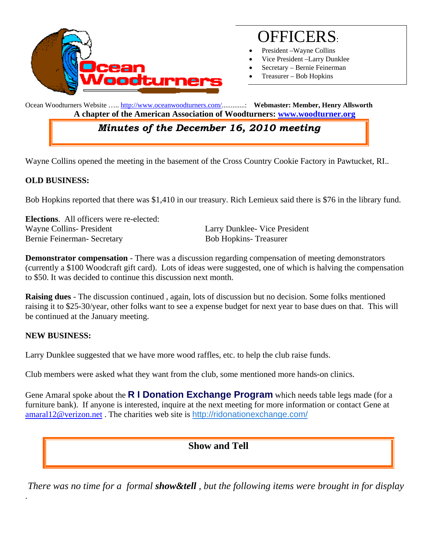

# OFFICERS:

- President Wayne Collins
- Vice President –Larry Dunklee
- Secretary Bernie Feinerman
- Treasurer Bob Hopkins

Ocean Woodturners Website ….. http://www.oceanwoodturners.com/.............: **Webmaster: Member, Henry Allsworth A chapter of the American Association of Woodturners: www.woodturner.org** 

# *Minutes of the December 16, 2010 meeting*

Wayne Collins opened the meeting in the basement of the Cross Country Cookie Factory in Pawtucket, RI..

#### **OLD BUSINESS:**

Bob Hopkins reported that there was \$1,410 in our treasury. Rich Lemieux said there is \$76 in the library fund.

**Elections**. All officers were re-elected: Wayne Collins- President **Larry Dunklee- Vice President** Bernie Feinerman- Secretary Bob Hopkins- Treasurer

**Demonstrator compensation** - There was a discussion regarding compensation of meeting demonstrators (currently a \$100 Woodcraft gift card). Lots of ideas were suggested, one of which is halving the compensation to \$50. It was decided to continue this discussion next month.

**Raising dues** - The discussion continued , again, lots of discussion but no decision. Some folks mentioned raising it to \$25-30/year, other folks want to see a expense budget for next year to base dues on that. This will be continued at the January meeting.

#### **NEW BUSINESS:**

.

Larry Dunklee suggested that we have more wood raffles, etc. to help the club raise funds.

Club members were asked what they want from the club, some mentioned more hands-on clinics.

Gene Amaral spoke about the **R I Donation Exchange Program** which needs table legs made (for a furniture bank). If anyone is interested, inquire at the next meeting for more information or contact Gene at amaral12@verizon.net . The charities web site is http://ridonationexchange.com/

## **Show and Tell**

 *There was no time for a formal show&tell , but the following items were brought in for display*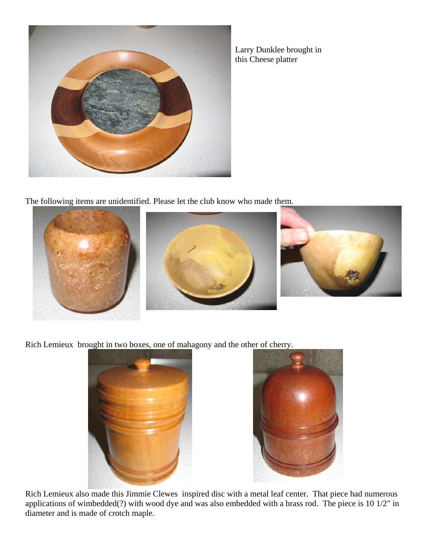

Larry Dunklee brought in this Cheese platter

The following items are unidentified. Please let the club know who made them.



Rich Lemieux brought in two boxes, one of mahagony and the other of cherry.





Rich Lemieux also made this Jimmie Clewes inspired disc with a metal leaf center. That piece had numerous applications of wimbedded(?) with wood dye and was also embedded with a brass rod. The piece is 10 1/2" in diameter and is made of crotch maple.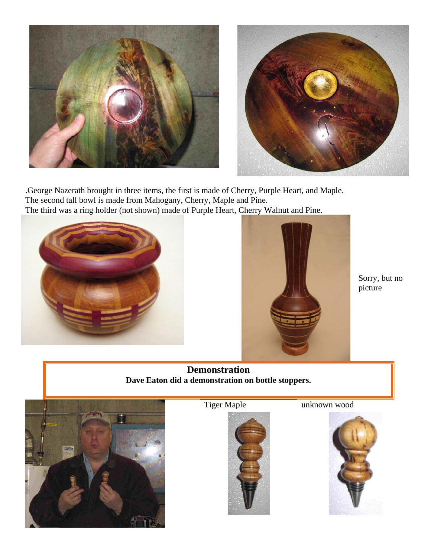



.George Nazerath brought in three items, the first is made of Cherry, Purple Heart, and Maple. The second tall bowl is made from Mahogany, Cherry, Maple and Pine. The third was a ring holder (not shown) made of Purple Heart, Cherry Walnut and Pine.





Sorry, but no picture

**Demonstration Dave Eaton did a demonstration on bottle stoppers.** 





Tiger Maple **unknown** wood